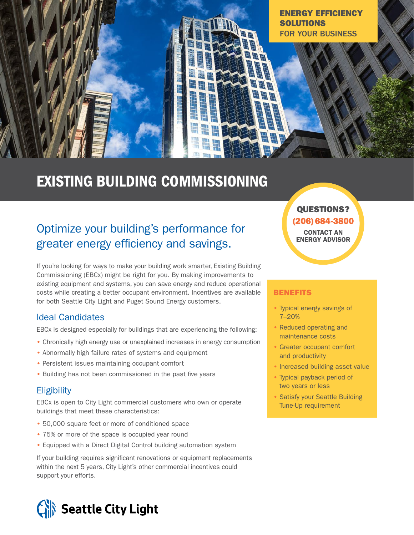

# EXISTING BUILDING COMMISSIONING

# Optimize your building's performance for greater energy efficiency and savings.

If you're looking for ways to make your building work smarter, Existing Building Commissioning (EBCx) might be right for you. By making improvements to existing equipment and systems, you can save energy and reduce operational costs while creating a better occupant environment. Incentives are available for both Seattle City Light and Puget Sound Energy customers.

# Ideal Candidates

EBCx is designed especially for buildings that are experiencing the following:

- Chronically high energy use or unexplained increases in energy consumption
- Abnormally high failure rates of systems and equipment
- Persistent issues maintaining occupant comfort
- Building has not been commissioned in the past five years

# **Eligibility**

EBCx is open to City Light commercial customers who own or operate buildings that meet these characteristics:

- 50,000 square feet or more of conditioned space
- 75% or more of the space is occupied year round
- Equipped with a Direct Digital Control building automation system

If your building requires significant renovations or equipment replacements within the next 5 years, City Light's other commercial incentives could support your efforts.

# Seattle City Light

QUESTIONS? (206) 684-3800 CONTACT AN ENERGY ADVISOR

#### **BENEFITS**

- Typical energy savings of 7–20%
- Reduced operating and maintenance costs
- Greater occupant comfort and productivity
- Increased building asset value
- Typical payback period of two years or less
- Satisfy your Seattle Building Tune-Up requirement